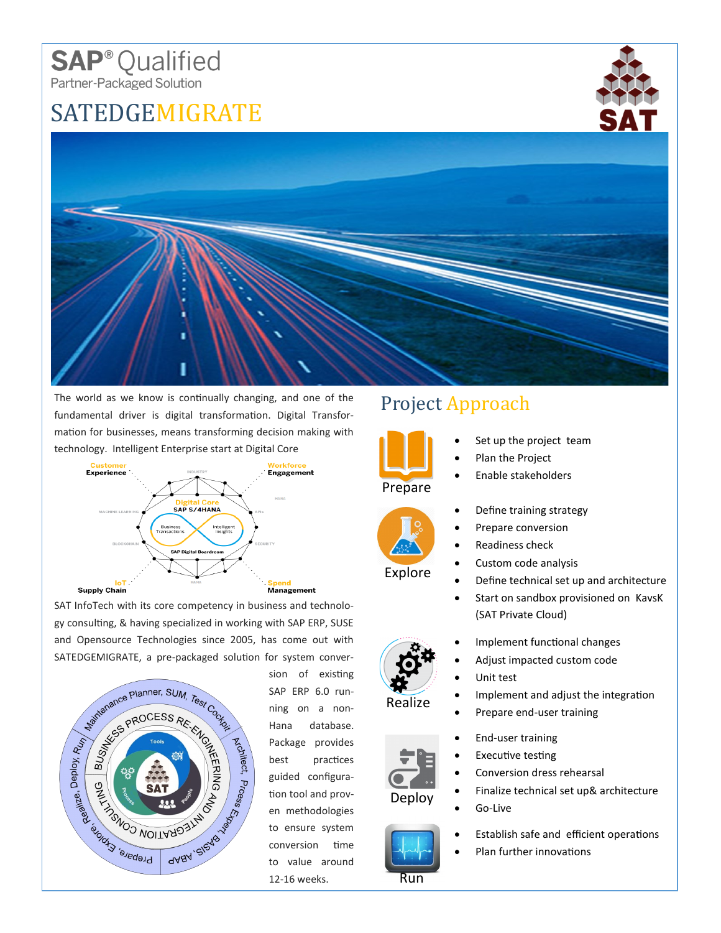## **SAP**<sup>®</sup> Qualified Partner-Packaged Solution

## SATEDGEMIGRATE





The world as we know is continually changing, and one of the fundamental driver is digital transformation. Digital Transformation for businesses, means transforming decision making with technology. Intelligent Enterprise start at Digital Core



SAT InfoTech with its core competency in business and technology consulting, & having specialized in working with SAP ERP, SUSE and Opensource Technologies since 2005, has come out with SATEDGEMIGRATE, a pre-packaged solution for system conver-



sion of existing SAP ERP 6.0 running on a non-Hana database. Package provides best practices guided configuration tool and proven methodologies to ensure system conversion time to value around 12-16 weeks.

## Project Approach



- Set up the project team
- Plan the Project
- Enable stakeholders



Realize

Deploy

Run



- Prepare conversion
- Readiness check
- Custom code analysis
- Define technical set up and architecture
- Start on sandbox provisioned on KavsK (SAT Private Cloud)
- Implement functional changes
- Adjust impacted custom code
- Unit test
	- Implement and adjust the integration
- Prepare end-user training
- End-user training
- **Executive testing**
- Conversion dress rehearsal
	- Finalize technical set up& architecture
- Go-Live
- Establish safe and efficient operations
- Plan further innovations